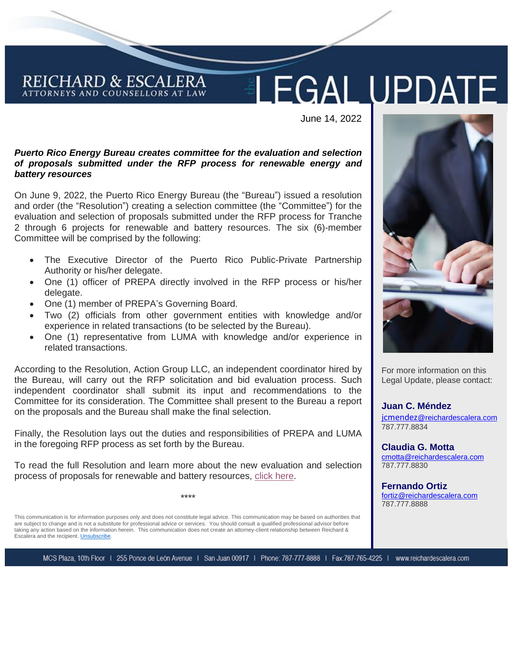# **LEGAL UPDATE**

June 14, 2022

#### *Puerto Rico Energy Bureau creates committee for the evaluation and selection of proposals submitted under the RFP process for renewable energy and battery resources*

On June 9, 2022, the Puerto Rico Energy Bureau (the "Bureau") issued a resolution and order (the "Resolution") creating a selection committee (the "Committee") for the evaluation and selection of proposals submitted under the RFP process for Tranche 2 through 6 projects for renewable and battery resources. The six (6)-member Committee will be comprised by the following:

- The Executive Director of the Puerto Rico Public-Private Partnership Authority or his/her delegate.
- One (1) officer of PREPA directly involved in the RFP process or his/her delegate.
- One (1) member of PREPA's Governing Board.

REICHARD & ESCALERA ATTORNEYS AND COUNSELLORS AT LAW

- Two (2) officials from other government entities with knowledge and/or experience in related transactions (to be selected by the Bureau).
- One (1) representative from LUMA with knowledge and/or experience in related transactions.

According to the Resolution, Action Group LLC, an independent coordinator hired by the Bureau, will carry out the RFP solicitation and bid evaluation process. Such independent coordinator shall submit its input and recommendations to the Committee for its consideration. The Committee shall present to the Bureau a report on the proposals and the Bureau shall make the final selection.

Finally, the Resolution lays out the duties and responsibilities of PREPA and LUMA in the foregoing RFP process as set forth by the Bureau.

To read the full Resolution and learn more about the new evaluation and selection process of proposals for renewable and battery resources, [click here.](Resolution%20and%20Order%20(002)%20RFP%20June%2014%202022.pdf)

\*\*\*\*

This communication is for information purposes only and does not constitute legal advice. This communication may be based on authorities that are subject to change and is not a substitute for professional advice or services. You should consult a qualified professional advisor before taking any action based on the information herein. This communication does not create an attorney-client relationship between Reichard & Escalera and the recipient[. Unsubscribe.](mailto:legalupdates@reichardescalera.com?subject=Unsubscribe)





For more information on this Legal Update, please contact:

**Juan C. Méndez** jcmendez[@reichardescalera.com](mailto:jcmendez@reichardescalera.com) 787.777.8834

**Claudia G. Motta** [cmotta@reichardescalera.com](mailto:cmotta@reichardescalera.com) 787.777.8830

**Fernando Ortiz** [fortiz@reichardescalera.com](mailto:fortiz@reichardescalera.com) 787.777.8888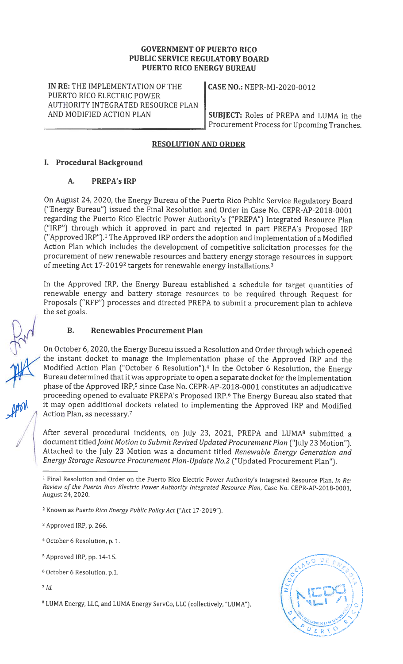#### GOVERNMENT OF PUERTO RICO PUBLIC SERVICE REGULATORY BOARD PUERTO RICO ENERGY BUREAU

IN RE: THE IMPLEMENTATION OF THE CASE NO.: NEPR-MI-2020-0012 PUERTO RICO ELECTRIC POWER AUTHORITY INTEGRATED RESOURCE PLAN

AND MODIFIED ACTION PLAN  $\parallel$  SUBJECT: Roles of PREPA and LUMA in the Procurement Process for Upcoming Tranches.

#### RESOLUTION AND ORDER

#### I. Procedural Background

### A. PREPA'sIRP

On August 24, 2020, the Energy Bureau of the Puerto Rico Public Service Regulatory Board ("Energy Bureau") issued the Final Resolution and Order in Case No. CEPR-AP-2018-0001 regarding the Puerto Rico Electric Power Authority's ("PREPA") Integrated Resource Plan ("IRP") through which it approved in part and rejected in part PREPA's Proposed IRP ("Approved IRP").' The Approved IRP orders the adoption and implementation of a Modified Action Plan which includes the development of competitive solicitation processes for the procurement of new renewable resources and battery energy storage resources in support of meeting Act 17-2019<sup>2</sup> targets for renewable energy installations.<sup>3</sup>

In the Approved IRP, the Energy Bureau established a schedule for target quantities of renewable energy and battery storage resources to be required through Request for Proposals ("RFP") processes and directed PREPA to submit a procurement plan to achieve the set goals.

#### B. Renewables Procurement Plan

On October 6, 2020, the Energy Bureau issued a Resolution and Order through which opened the instant docket to manage the implementation phase of the Approved IRP and the Modified Action Plan ("October 6 Resolution").4 In the October 6 Resolution, the Energy Bureau determined that it was appropriate to open a separate docket for the implementation phase of the Approved IRP,<sup>5</sup> since Case No. CEPR-AP-2018-0001 constitutes an adjudicative proceeding opened to evaluate PREPA's Proposed IRP.6 The Energy Bureau also stated that it may open additional dockets related to implementing the Approved IRP and Modified Action Plan, as necessary.7

After several procedural incidents, on July 23, 2021, PREPA and LUMA<sup>8</sup> submitted a document titled Joint Motion to Submit Revised Updated Procurement Plan ("July 23 Motion"). Attached to the July 23 Motion was a document titled Renewable Energy Generation and Energy Storage Resource Procurement Plan-Update No.2 ("Updated Procurement Plan").

<sup>3</sup> Approved IRP, p. 266.

- <sup>4</sup> October 6 Resolution, p. 1.
- <sup>5</sup> Approved IRP, pp. 14-15.
- <sup>6</sup> October 6 Resolution, p.1.

 $7$  Id.

<sup>8</sup> LUMA Energy, LLC, and LUMA Energy ServCo, LLC (collectively, "LUMA").



 $\sqrt{2}$ I

<sup>&</sup>lt;sup>1</sup> Final Resolution and Order on the Puerto Rico Electric Power Authority's Integrated Resource Plan, In Re: Review of the Puerto Rico Electric Power Authority Integrated Resource Plan, Case No. CEPR-AP-2018-0001, August 24, 2020.

<sup>2</sup> Known as Puerto Rico Energy Public Policy Act ("Act 17-2019").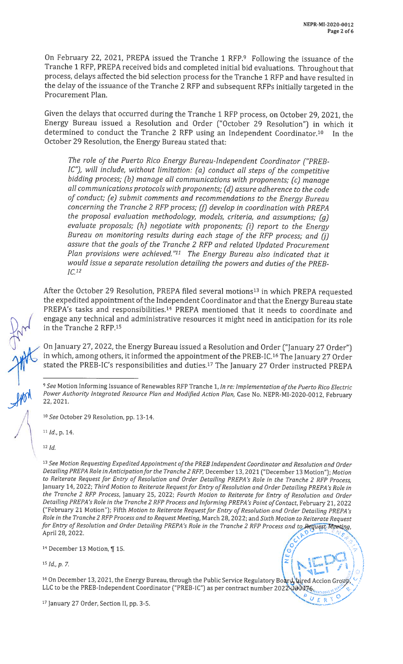On February 22, 2021, PREPA issued the Tranche <sup>1</sup> RFP.9 Following the issuance of the Tranche <sup>1</sup> RFP, PREPA received bids and completed initial bid evaluations. Throughout that process, delays affected the bid selection process for the Tranche <sup>1</sup> RFP and have resulted in the delay of the issuance of the Tranche <sup>2</sup> RFP and subsequent RFPs initially targeted in the Procurement Plan.

Given the delays that occurred during the Tranche <sup>1</sup> RFP process, on October 29, 2021, the Energy Bureau issued a Resolution and Order ("October 29 Resolution") in which it determined to conduct the Tranche 2 RFP using an Independent Coordinator.<sup>10</sup> In the October 29 Resolution, the Energy Bureau stated that:

The role of the Puerto Rico Energy Bureau-Independent Coordinator ("PREB IC"), will include, without limitation: (a) conduct all steps of the competitive bidding process; (b) manage all communications with proponents; (c) manage all communications protocols with proponents; (d) assure adherence to the code of conduct; (e) submit comments and recommendations to the Energy Bureau concerning the Tranche 2 RFP process;  $(f)$  develop in coordination with PREPA the proposal evaluation methodology, models, criteria, and assumptions; (g) evaluate proposals; (h) negotiate with proponents; (i) report to the Energy Bureau on monitoring results during each stage of the RFP process; and (j) assure that the goals of the Tranche 2 RFP and related Updated Procurement Plan provisions were achieved." $11$  The Energy Bureau also indicated that it would issue a separate resolution detailing the powers and duties of the PREB  $IC<sub>.12</sub>$ 

After the October 29 Resolution, PREPA filed several motions<sup>13</sup> in which PREPA requested the expedited appointment of the Independent Coordinator and that the Energy Bureau state PREPA's tasks and responsibilities.<sup>14</sup> PREPA mentioned that it needs to coordinate and engage any technical and administrative resources it might need in anticipation for its role in the Tranche 2 RFP.<sup>15</sup>

On January 27, 2022, the Energy Bureau issued a Resolution and Order ("January 27 Order") in which, among others, it informed the appointment of the PREB-IC.<sup>16</sup> The January 27 Order stated the PREB-IC's responsibilities and duties.<sup>17</sup> The January 27 Order instructed PREPA

<sup>10</sup> See October 29 Resolution, pp. 13-14.

<sup>11</sup> Id., p. 14.

<sup>12</sup> Id.

<sup>13</sup> See Motion Requesting Expedited Appointment of the PREB Independent Coordinator and Resolution and Order Detailing PREPA Role in Anticipation for the Tranche 2 RFP, December 13, 2021 ("December 13 Motion"); Motion to Reiterate Request for Entry of Resolution and Order Detailing PREPA's Role in the Tranche 2 RFP Process, January 14, 2022; Third Motion to Reiterate Request for Entry of Resolution and Order Detailing PREPA's Role in the Tranche 2 RFP Process, January 25, 2022; Fourth Motion to Reiterate for Entry of Resolution and Order Detailing PREPA's Role in the Tranche 2 RFP Process and Informing PREPA's Point of Contact, February 21, 2022 ("February 21 Motion"); Fifth Motion to Reiterate Request for Entry of Resolution and Order Detailing PREPA's Role in the Tranche 2 RFP Process and to Request Meeting, March 28, 2022; and Sixth Motion to Reiterate Request for Entry of Resolution and Order Detailing PREPA's Role in the Tranche 2 RFP Process and to Request Meeting<br>April 28, 2022.

<sup>14</sup> December 13 Motion, ¶ 15.

<sup>15</sup> Id., p.7.

<sup>16</sup> On December 13, 2021, the Energy Bureau, through the Public Service Regulatory Board, hired Accion Group

LLC to be the PREB-Independent Coordinator ("PREB-IC") as per contract number 2022  $\sqrt{90076}$ 

<sup>&</sup>lt;sup>9</sup> See Motion Informing Issuance of Renewables RFP Tranche 1, In re: Implementation of the Puerto Rico Electric Power Authority Integrated Resource Plan and Modified Action Plan, Case No. NEPR-MI-2020-0012, February 22, 2021.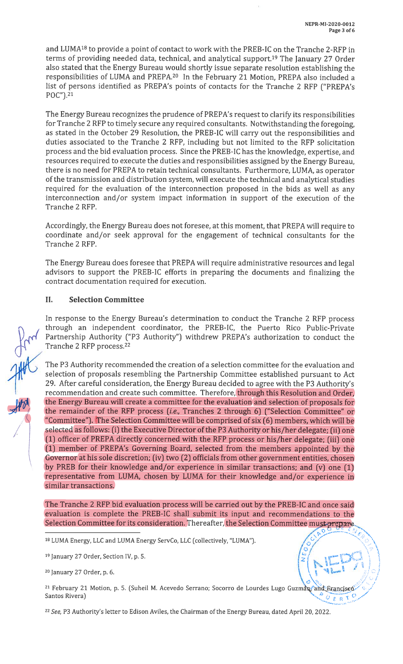and LUMA<sup>18</sup> to provide a point of contact to work with the PREB-IC on the Tranche 2-RFP in terms of providing needed data, technical, and analytical support.<sup>19</sup> The January 27 Order also stated that the Energy Bureau would shortly issue separate resolution establishing the responsibilities of LUMA and PREPA.<sup>20</sup> In the February 21 Motion, PREPA also included a list of persons identified as PREPA's points of contacts for the Tranche <sup>2</sup> RFP ("PREPA's POC").21

The Energy Bureau recognizes the prudence of PREPA's request to clarify its responsibilities for Tranche <sup>2</sup> RFP to timely secure any required consultants. Notwithstanding the foregoing, as stated in the October 29 Resolution, the PREB-IC will carry out the responsibilities and duties associated to the Tranche <sup>2</sup> RFP, including but not limited to the RFP solicitation process and the bid evaluation process. Since the PREB-IC has the knowledge, expertise, and resources required to execute the duties and responsibilities assigned by the Energy Bureau, there is no need for PREPA to retain technical consultants. Furthermore, LUMA, as operator of the transmission and distribution system, will execute the technical and analytical studies required for the evaluation of the interconnection proposed in the bids as well as any interconnection and/or system impact information in support of the execution of the Tranche 2 RFP.

Accordingly, the Energy Bureau does not foresee, at this moment, that PREPA will require to coordinate and/or seek approval for the engagement of technical consultants for the Tranche 2 RFP.

The Energy Bureau does foresee that PREPA will require administrative resources and legal advisors to support the PREB-IC efforts in preparing the documents and finalizing the contract documentation required for execution.

### II. Selection Committee

In response to the Energy Bureau's determination to conduct the Tranche <sup>2</sup> RFP process through an independent coordinator, the PREB-IC, the Puerto Rico Public-Private Partnership Authority ("P3 Authority") withdrew PREPA's authorization to conduct the Tranche 2 RFP process.22

The P3 Authority recommended the creation of a selection committee for the evaluation and selection of proposals resembling the Partnership Committee established pursuant to Act 29. After careful consideration, the Energy Bureau decided to agree with the P3 Authority's recommendation and create such committee. Therefore, through this Resolution and Order, the Energy Bureau will create a committee for the evaluation and selection of proposals for the remainder of the RFP process (i.e., Tranches 2 through 6) ("Selection Committee" or "Committee"). The Selection Committee will be comprised of six (6) members, which will be selected as follows: (i) the Executive Director of the P3 Authority or his/her delegate; (ii) one (1) officer of PREPA directly concerned with the RFP process or his/her delegate; (iii) one (1) member of PREPA's Governing Board, selected from the members appointed by the Governor at his sole discretion; (iv) two (2) officials from other government entities, chosen by PREB for their knowledge and/or experience in similar transactions; and (v) one (1) representative from LUMA, chosen by LUMA for their knowledge and/or experience in similar transactions.

The Tranche <sup>2</sup> RFP bid evaluation process will be carried out by the PREB-IC and once said evaluation is complete the PREB-IC shall submit its input and recommendations to the Selection Committee for its consideration. Thereafter, the Selection Committee must prepare

<sup>18</sup> LUMA Energy, LLC and LUMA Energy ServCo, LLC (collectively, "LUMA").

<sup>19</sup> January 27 Order, Section IV, p. 5.

<sup>20</sup> January 27 Order, p. 6.

<sup>21</sup> February 21 Motion, p. 5. (Suheil M. Acevedo Serrano; Socorro de Lourdes Lugo Guzman, and Francisco Santos Rivera)  $\sigma$  p  $_{\rm R}$ 

<sup>22</sup> See, P3 Authority's letter to Edison Aviles, the Chairman of the Energy Bureau, dated April 20, 2022.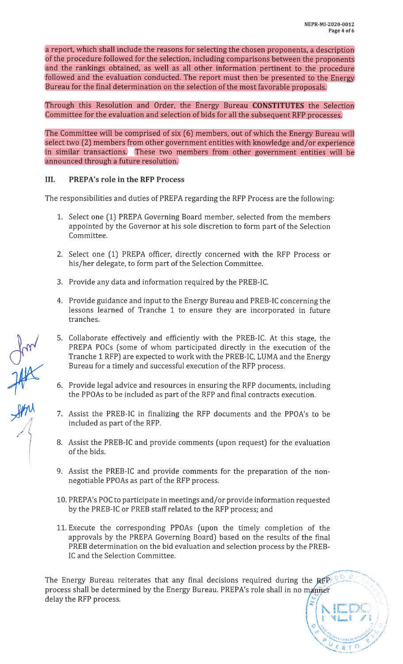1 **A**  $\mathbf{1}$ 

 $\bm{\omega}$ 

A MARIAN AND A MARIA

F

a report, which shall include the reasons for selecting the chosen proponents, a description of the procedure followed for the selection, including comparisons between the proponents and the rankings obtained, as well as all other information pertinent to the procedure followed and the evaluation conducted. The report must then be presented to the Energy Bureau for the final determination on the selection of the most favorable proposals.

Through this Resolution and Order, the Energy Bureau CONSTITUTES the Selection Committee for the evaluation and selection of bids for all the subsequent RFP processes.

The Committee will be comprised of six (6) members, out of which the Energy Bureau will select two (2) members from other government entities with knowledge and/or experience in similar transactions. These two members from other government entities will be announced through a future resolution.

### III. PREPA's role in the RFP Process

The responsibilities and duties of PREPA regarding the RFP Process are the following:

- 1. Select one (1) PREPA Governing Board member, selected from the members appointed by the Governor at his sole discretion to form part of the Selection Committee.
- 2. Select one (1) PREPA officer, directly concerned with the RFP Process or his/her delegate, to form part of the Selection Committee.
- 3. Provide any data and information required by the PREB-IC.
- 4. Provide guidance and input to the Energy Bureau and PREB-IC concerning the lessons learned of Tranche <sup>1</sup> to ensure they are incorporated in future tranches.
- 5. Collaborate effectively and efficiently with the PREB-IC. At this stage, the PREPA POCs (some of whom participated directly in the execution of the Tranche <sup>1</sup> RFP) are expected to work with the PREB-IC, LUMA and the Energy Bureau for a timely and successful execution of the RFP process.
- 6. Provide legal advice and resources in ensuring the RFP documents, including the PPOAs to be included as part of the RFP and final contracts execution.
- 7. Assist the PREB-IC in finalizing the RFP documents and the PPOA's to be included as part of the RFP.
- 8. Assist the PREB-IC and provide comments (upon request) for the evaluation of the bids.
- 9. Assist the PREB-IC and provide comments for the preparation of the nonnegotiable PPOAs as part of the RFP process.
- 10. PREPA's POC to participate in meetings and/or provide information requested by the PREB-IC or PREB staff related to the RFP process; and
- 11. Execute the corresponding PPOAs (upon the timely completion of the approvals by the PREPA Governing Board) based on the results of the final PREB determination on the bid evaluation and selection process by the PREB IC and the Selection Committee.

The Energy Bureau reiterates that any final decisions required during the REP process shall be determined by the Energy Bureau. PREPA's role shall in no manner delay the RFP process.

um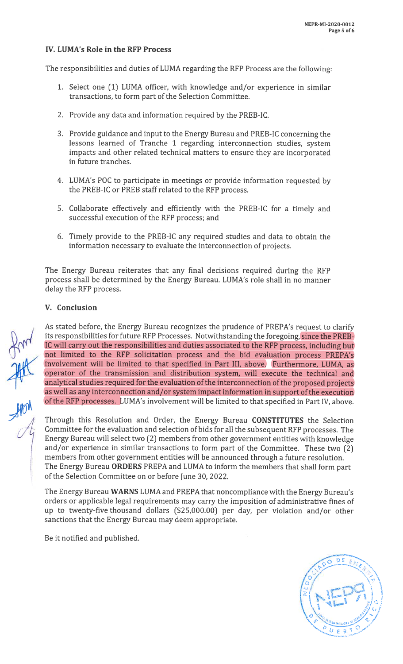### IV. LUMA's Role in the RFP Process

The responsibilities and duties of LUMA regarding the RFP Process are the following:

- 1. Select one (1) LUMA officer, with knowledge and/or experience in similar transactions, to form part of the Selection Committee.
- 2. Provide any data and information required by the PREB-IC.
- 3. Provide guidance and input to the Energy Bureau and PREB-IC concerning the lessons learned of Tranche <sup>1</sup> regarding interconnection studies, system impacts and other related technical matters to ensure they are incorporated in future tranches.
- 4. LUMA's POC to participate in meetings or provide information requested by the PREB-IC or PREB staff related to the RFP process.
- 5. Collaborate effectively and efficiently with the PREB-IC for a timely and successful execution of the RFP process; and
- 6. Timely provide to the PREB-IC any required studies and data to obtain the information necessary to evaluate the interconnection of projects.

The Energy Bureau reiterates that any final decisions required during the RFP process shall be determined by the Energy Bureau. LUMA's role shall in no manner delay the RFP process.

#### V. Conclusion

As stated before, the Energy Bureau recognizes the prudence of PREPA's request to clarify its responsibilities for future RFP Processes. Notwithstanding the foregoing, since the PREB-IC will carry out the responsibilities and duties associated to the RFP process, including but not limited to the RFP solicitation process and the bid evaluation process PREPA's involvement will be limited to that specified in Part III, above. Furthermore, LUMA, as operator of the transmission and distribution system, will execute the technical and analytical studies required for the evaluation of the interconnection of the proposed projects as well as any interconnection and/or system impact information in support of the execution of the RFP processes. LUMA's involvement will be limited to that specified in Part IV, above.

Through this Resolution and Order, the Energy Bureau CONSTITUTES the Selection Committee for the evaluation and selection of bids for all the subsequent RFP processes. The Energy Bureau will select two (2) members from other government entities with knowledge and/or experience in similar transactions to form part of the Committee. These two (2) members from other government entities will be announced through a future resolution. The Energy Bureau ORDERS PREPA and LUMA to inform the members that shall form part of the Selection Committee on or before June 30, 2022.

The Energy Bureau WARNS LUMA and PREPA that noncompliance with the Energy Bureau's orders or applicable legal requirements may carry the imposition of administrative fines of up to twenty-five thousand dollars (\$25,000.00) per day, per violation and/or other sanctions that the Energy Bureau may deem appropriate.

Be it notified and published.

I,